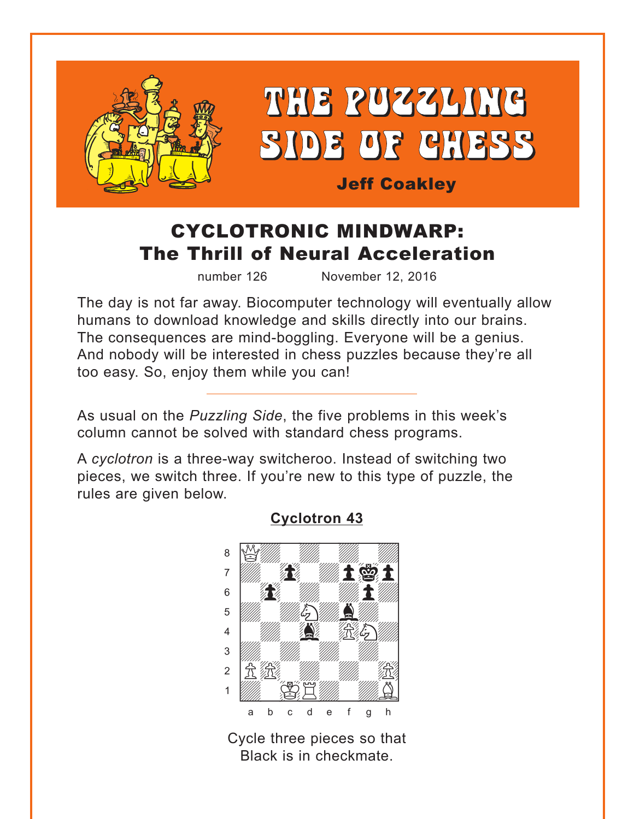<span id="page-0-0"></span>

# CYCLOTRONIC MINDWARP: The Thrill of Neural Acceleration

number 126 November 12, 2016

The day is not far away. Biocomputer technology will eventually allow humans to download knowledge and skills directly into our brains. The consequences are mind-boggling. Everyone will be a genius. And nobody will be interested in chess puzzles because they're all too easy. So, enjoy them while you can!

As usual on the *Puzzling Side*, the five problems in this week's column cannot be solved with standard chess programs.

A *cyclotron* is a three-way switcheroo. Instead of switching two pieces, we switch three. If you're new to this type of puzzle, the rules are given below.



#### **[Cyclotron 43](#page-4-0)**

Cycle three pieces so that Black is in checkmate.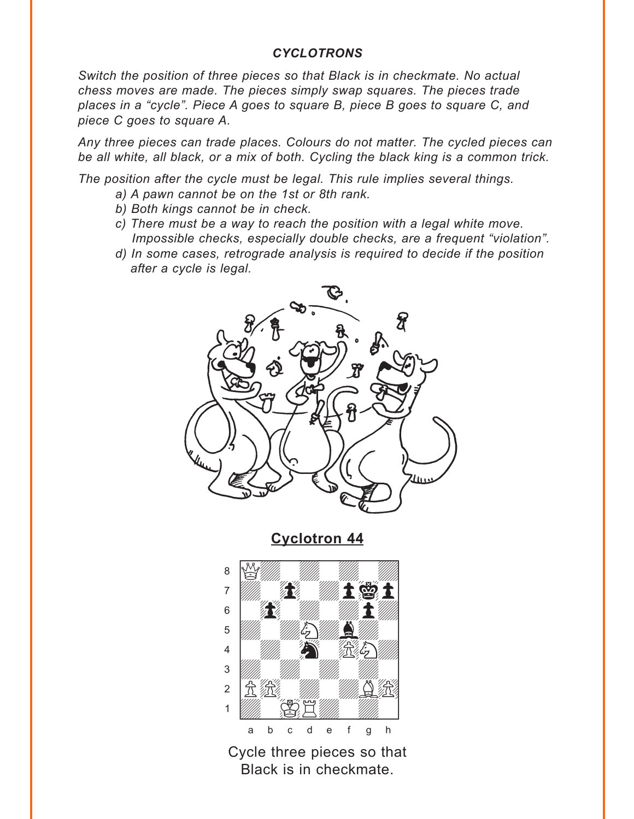#### *CYCLOTRONS*

<span id="page-1-0"></span>*Switch the position of three pieces so that Black is in checkmate. No actual chess moves are made. The pieces simply swap squares. The pieces trade places in a "cycle". Piece A goes to square B, piece B goes to square C, and piece C goes to square A.* 

*Any three pieces can trade places. Colours do not matter. The cycled pieces can be all white, all black, or a mix of both. Cycling the black king is a common trick.* 

*The position after the cycle must be legal. This rule implies several things.* 

- *a) A pawn cannot be on the 1st or 8th rank.*
- *b) Both kings cannot be in check.*
- *c) There must be a way to reach the position with a legal white move. Impossible checks, especially double checks, are a frequent "violation".*
- *d) In some cases, retrograde analysis is required to decide if the position after a cycle is legal.*



**[Cyclotron 44](#page-5-0)**



Cycle three pieces so that Black is in checkmate.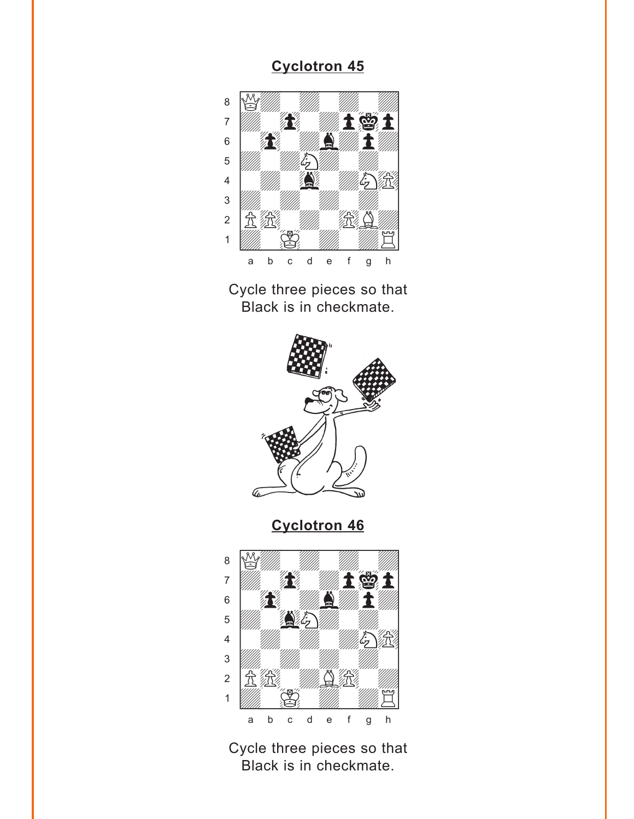<span id="page-2-0"></span>

Cycle three pieces so that Black is in checkmate.



**[Cyclotron 46](#page-6-0)**



Cycle three pieces so that Black is in checkmate.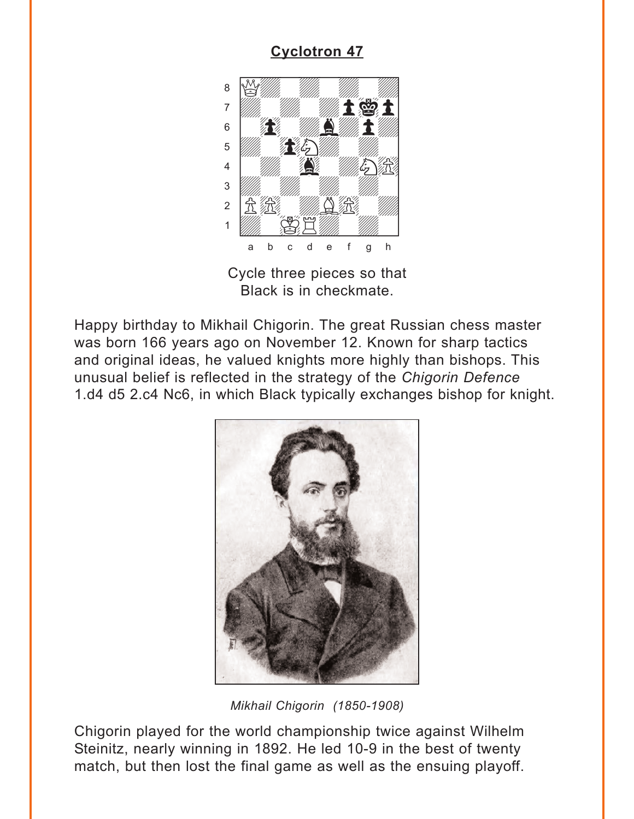<span id="page-3-0"></span>

Cycle three pieces so that Black is in checkmate.

Happy birthday to Mikhail Chigorin. The great Russian chess master was born 166 years ago on November 12. Known for sharp tactics and original ideas, he valued knights more highly than bishops. This unusual belief is reflected in the strategy of the *Chigorin Defence* 1.d4 d5 2.c4 Nc6, in which Black typically exchanges bishop for knight.



*Mikhail Chigorin (1850-1908)*

Chigorin played for the world championship twice against Wilhelm Steinitz, nearly winning in 1892. He led 10-9 in the best of twenty match, but then lost the final game as well as the ensuing playoff.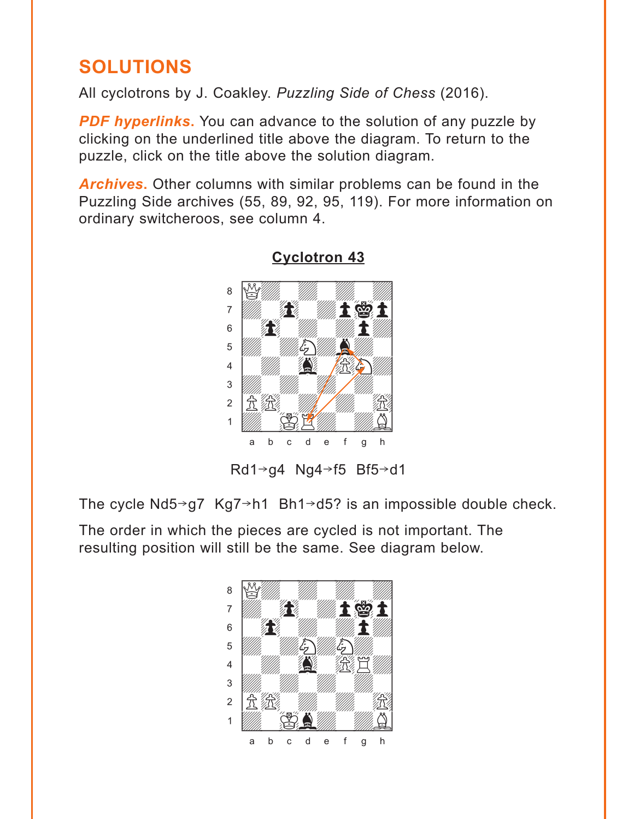## <span id="page-4-0"></span>**SOLUTIONS**

All cyclotrons by J. Coakley. *Puzzling Side of Chess* (2016).

**PDF hyperlinks.** You can advance to the solution of any puzzle by clicking on the underlined title above the diagram. To return to the puzzle, click on the title above the solution diagram.

*Archives***.** Other columns with similar problems can be found in the Puzzling Side archives (55, 89, 92, 95, 119). For more information on ordinary switcheroos, see column 4.



## **[Cyclotron 43](#page-0-0)**

Rd1 $\rightarrow$ g4 Ng4 $\rightarrow$ f5 Bf5 $\rightarrow$ d1

The cycle  $Nd5\rightarrow g7$  Kg7 $\rightarrow$ h1 Bh1 $\rightarrow$ d5? is an impossible double check.

The order in which the pieces are cycled is not important. The resulting position will still be the same. See diagram below.

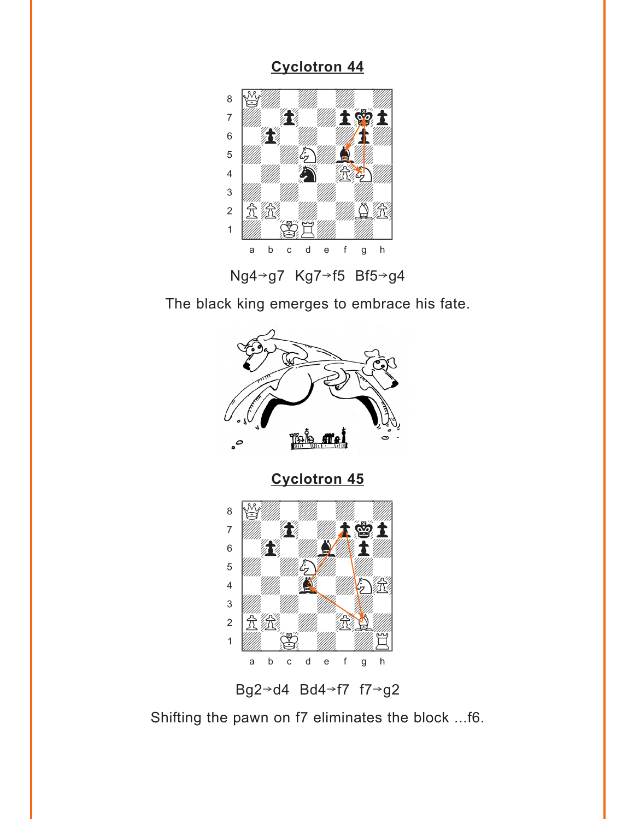<span id="page-5-0"></span>

Ng4+g7 Kg7+f5 Bf5+g4

The black king emerges to embrace his fate.



Bg2 $\rightarrow$ d4 Bd4 $\rightarrow$ f7 f7 $\rightarrow$ g2

Shifting the pawn on f7 eliminates the block ...f6.